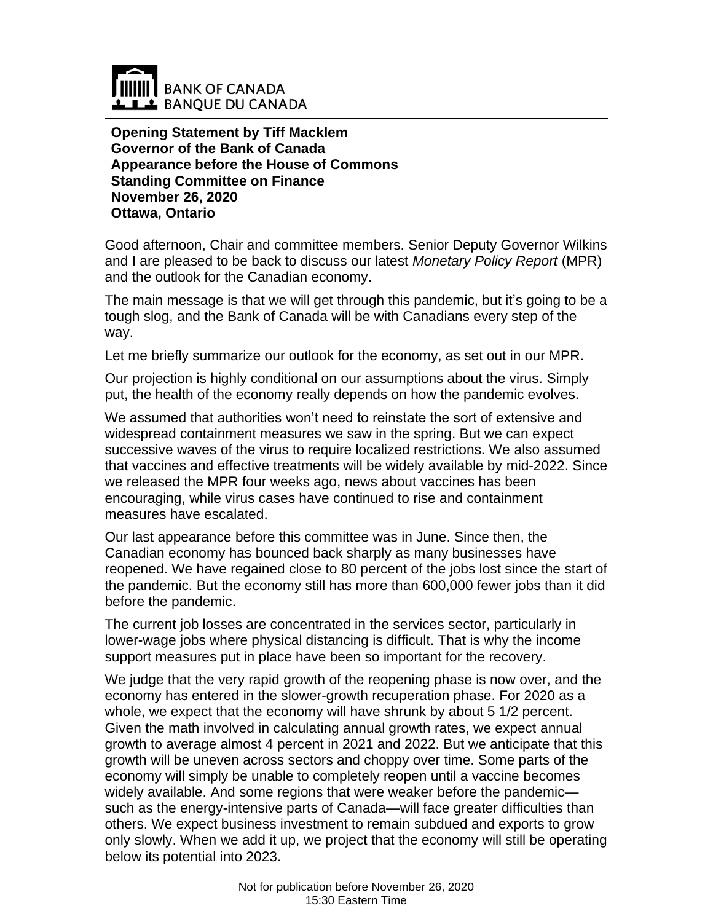

**Opening Statement by Tiff Macklem Governor of the Bank of Canada Appearance before the House of Commons Standing Committee on Finance November 26, 2020 Ottawa, Ontario**

Good afternoon, Chair and committee members. Senior Deputy Governor Wilkins and I are pleased to be back to discuss our latest *Monetary Policy Report* (MPR) and the outlook for the Canadian economy.

The main message is that we will get through this pandemic, but it's going to be a tough slog, and the Bank of Canada will be with Canadians every step of the way.

Let me briefly summarize our outlook for the economy, as set out in our MPR.

Our projection is highly conditional on our assumptions about the virus. Simply put, the health of the economy really depends on how the pandemic evolves.

We assumed that authorities won't need to reinstate the sort of extensive and widespread containment measures we saw in the spring. But we can expect successive waves of the virus to require localized restrictions. We also assumed that vaccines and effective treatments will be widely available by mid-2022. Since we released the MPR four weeks ago, news about vaccines has been encouraging, while virus cases have continued to rise and containment measures have escalated.

Our last appearance before this committee was in June. Since then, the Canadian economy has bounced back sharply as many businesses have reopened. We have regained close to 80 percent of the jobs lost since the start of the pandemic. But the economy still has more than 600,000 fewer jobs than it did before the pandemic.

The current job losses are concentrated in the services sector, particularly in lower-wage jobs where physical distancing is difficult. That is why the income support measures put in place have been so important for the recovery.

We judge that the very rapid growth of the reopening phase is now over, and the economy has entered in the slower-growth recuperation phase. For 2020 as a whole, we expect that the economy will have shrunk by about 5 1/2 percent. Given the math involved in calculating annual growth rates, we expect annual growth to average almost 4 percent in 2021 and 2022. But we anticipate that this growth will be uneven across sectors and choppy over time. Some parts of the economy will simply be unable to completely reopen until a vaccine becomes widely available. And some regions that were weaker before the pandemic such as the energy-intensive parts of Canada—will face greater difficulties than others. We expect business investment to remain subdued and exports to grow only slowly. When we add it up, we project that the economy will still be operating below its potential into 2023.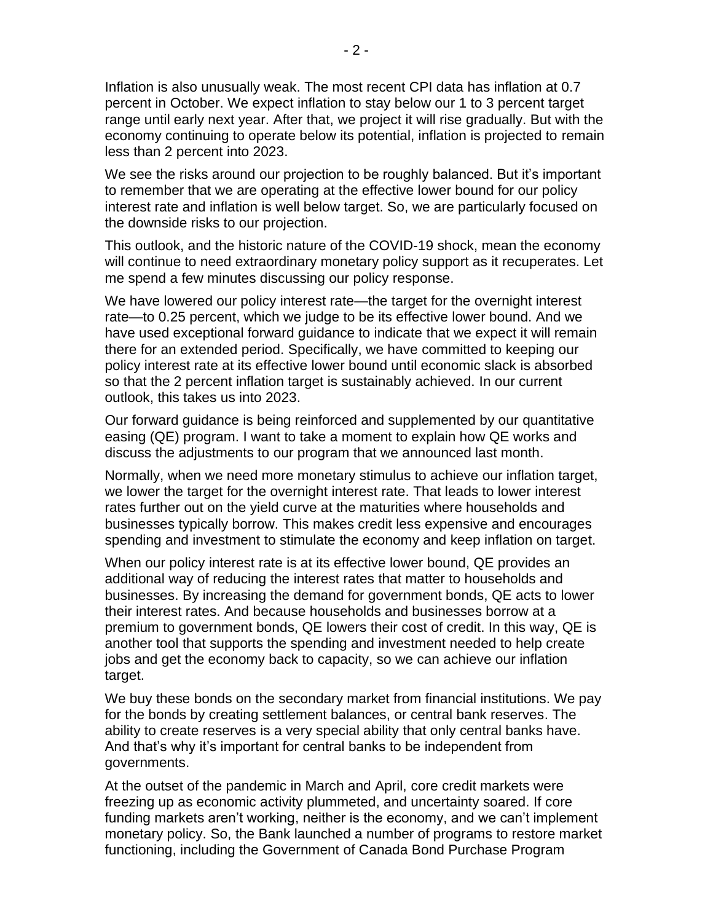Inflation is also unusually weak. The most recent CPI data has inflation at 0.7 percent in October. We expect inflation to stay below our 1 to 3 percent target range until early next year. After that, we project it will rise gradually. But with the economy continuing to operate below its potential, inflation is projected to remain less than 2 percent into 2023.

We see the risks around our projection to be roughly balanced. But it's important to remember that we are operating at the effective lower bound for our policy interest rate and inflation is well below target. So, we are particularly focused on the downside risks to our projection.

This outlook, and the historic nature of the COVID-19 shock, mean the economy will continue to need extraordinary monetary policy support as it recuperates. Let me spend a few minutes discussing our policy response.

We have lowered our policy interest rate—the target for the overnight interest rate—to 0.25 percent, which we judge to be its effective lower bound. And we have used exceptional forward guidance to indicate that we expect it will remain there for an extended period. Specifically, we have committed to keeping our policy interest rate at its effective lower bound until economic slack is absorbed so that the 2 percent inflation target is sustainably achieved. In our current outlook, this takes us into 2023.

Our forward guidance is being reinforced and supplemented by our quantitative easing (QE) program. I want to take a moment to explain how QE works and discuss the adjustments to our program that we announced last month.

Normally, when we need more monetary stimulus to achieve our inflation target, we lower the target for the overnight interest rate. That leads to lower interest rates further out on the yield curve at the maturities where households and businesses typically borrow. This makes credit less expensive and encourages spending and investment to stimulate the economy and keep inflation on target.

When our policy interest rate is at its effective lower bound, QE provides an additional way of reducing the interest rates that matter to households and businesses. By increasing the demand for government bonds, QE acts to lower their interest rates. And because households and businesses borrow at a premium to government bonds, QE lowers their cost of credit. In this way, QE is another tool that supports the spending and investment needed to help create jobs and get the economy back to capacity, so we can achieve our inflation target.

We buy these bonds on the secondary market from financial institutions. We pay for the bonds by creating settlement balances, or central bank reserves. The ability to create reserves is a very special ability that only central banks have. And that's why it's important for central banks to be independent from governments.

At the outset of the pandemic in March and April, core credit markets were freezing up as economic activity plummeted, and uncertainty soared. If core funding markets aren't working, neither is the economy, and we can't implement monetary policy. So, the Bank launched a number of programs to restore market functioning, including the Government of Canada Bond Purchase Program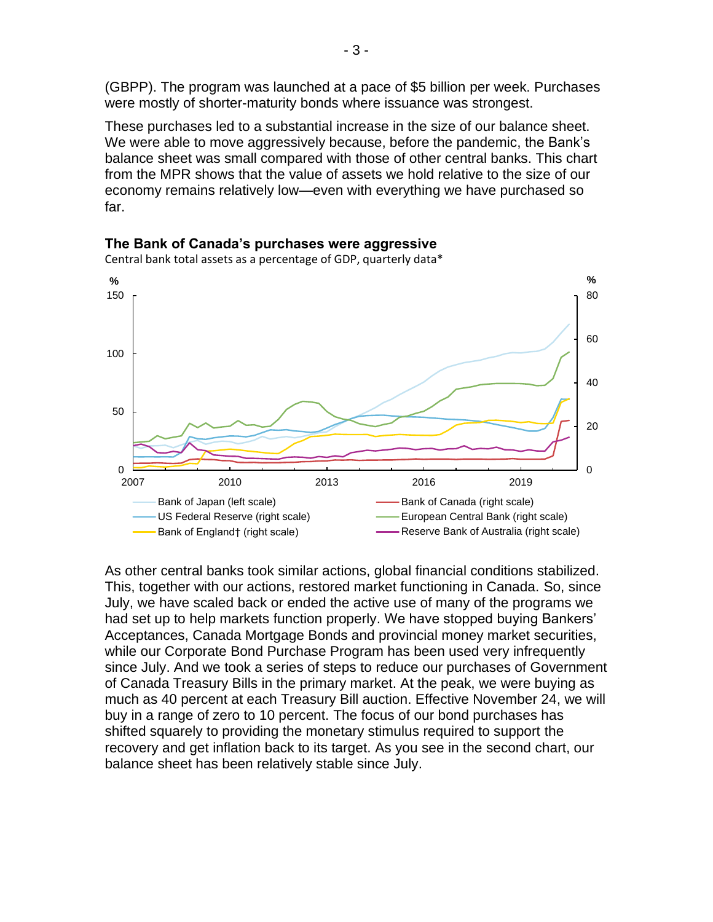(GBPP). The program was launched at a pace of \$5 billion per week. Purchases were mostly of shorter-maturity bonds where issuance was strongest.

These purchases led to a substantial increase in the size of our balance sheet. We were able to move aggressively because, before the pandemic, the Bank's balance sheet was small compared with those of other central banks. This chart from the MPR shows that the value of assets we hold relative to the size of our economy remains relatively low—even with everything we have purchased so far.



**The Bank of Canada's purchases were aggressive**

Central bank total assets as a percentage of GDP, quarterly data\*

As other central banks took similar actions, global financial conditions stabilized. This, together with our actions, restored market functioning in Canada. So, since July, we have scaled back or ended the active use of many of the programs we had set up to help markets function properly. We have stopped buying Bankers' Acceptances, Canada Mortgage Bonds and provincial money market securities, while our Corporate Bond Purchase Program has been used very infrequently since July. And we took a series of steps to reduce our purchases of Government of Canada Treasury Bills in the primary market. At the peak, we were buying as much as 40 percent at each Treasury Bill auction. Effective November 24, we will buy in a range of zero to 10 percent. The focus of our bond purchases has shifted squarely to providing the monetary stimulus required to support the recovery and get inflation back to its target. As you see in the second chart, our balance sheet has been relatively stable since July.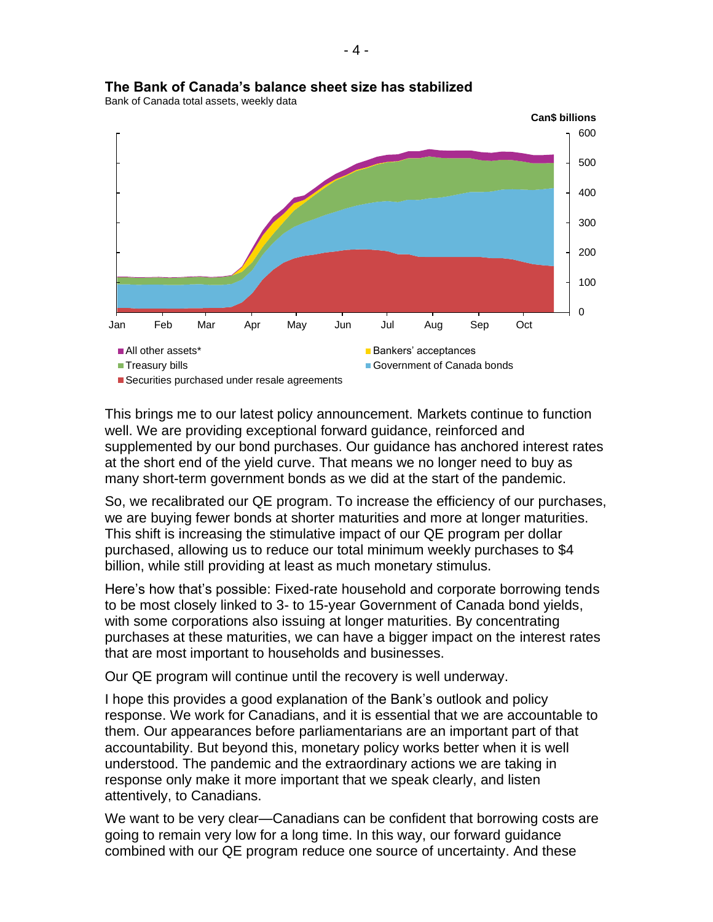

## **The Bank of Canada's balance sheet size has stabilized**

Bank of Canada total assets, weekly data

This brings me to our latest policy announcement. Markets continue to function well. We are providing exceptional forward guidance, reinforced and supplemented by our bond purchases. Our guidance has anchored interest rates at the short end of the yield curve. That means we no longer need to buy as many short-term government bonds as we did at the start of the pandemic.

So, we recalibrated our QE program. To increase the efficiency of our purchases, we are buying fewer bonds at shorter maturities and more at longer maturities. This shift is increasing the stimulative impact of our QE program per dollar purchased, allowing us to reduce our total minimum weekly purchases to \$4 billion, while still providing at least as much monetary stimulus.

Here's how that's possible: Fixed-rate household and corporate borrowing tends to be most closely linked to 3- to 15-year Government of Canada bond yields, with some corporations also issuing at longer maturities. By concentrating purchases at these maturities, we can have a bigger impact on the interest rates that are most important to households and businesses.

Our QE program will continue until the recovery is well underway.

I hope this provides a good explanation of the Bank's outlook and policy response. We work for Canadians, and it is essential that we are accountable to them. Our appearances before parliamentarians are an important part of that accountability. But beyond this, monetary policy works better when it is well understood. The pandemic and the extraordinary actions we are taking in response only make it more important that we speak clearly, and listen attentively, to Canadians.

We want to be very clear—Canadians can be confident that borrowing costs are going to remain very low for a long time. In this way, our forward guidance combined with our QE program reduce one source of uncertainty. And these